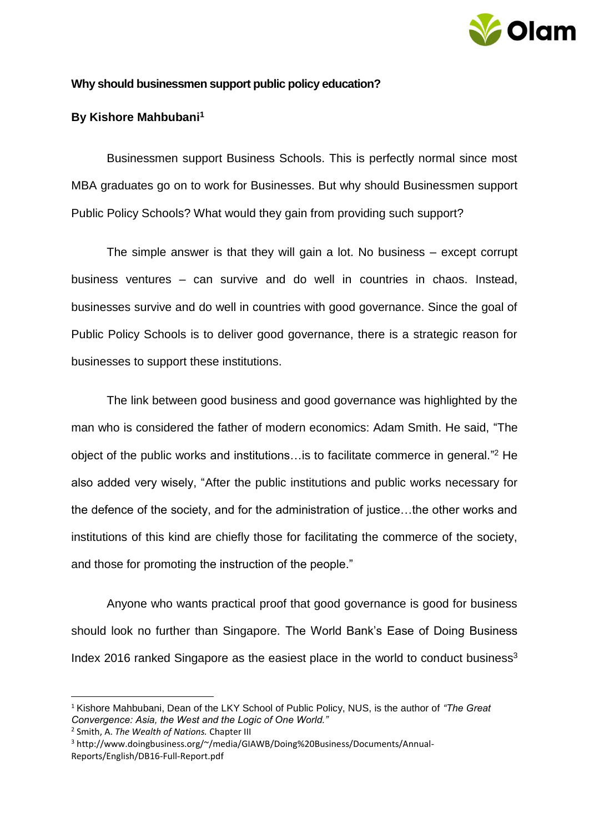

## **Why should businessmen support public policy education?**

## **By Kishore Mahbubani<sup>1</sup>**

Businessmen support Business Schools. This is perfectly normal since most MBA graduates go on to work for Businesses. But why should Businessmen support Public Policy Schools? What would they gain from providing such support?

The simple answer is that they will gain a lot. No business – except corrupt business ventures – can survive and do well in countries in chaos. Instead, businesses survive and do well in countries with good governance. Since the goal of Public Policy Schools is to deliver good governance, there is a strategic reason for businesses to support these institutions.

The link between good business and good governance was highlighted by the man who is considered the father of modern economics: Adam Smith. He said, "The object of the public works and institutions…is to facilitate commerce in general." <sup>2</sup> He also added very wisely, "After the public institutions and public works necessary for the defence of the society, and for the administration of justice…the other works and institutions of this kind are chiefly those for facilitating the commerce of the society, and those for promoting the instruction of the people."

Anyone who wants practical proof that good governance is good for business should look no further than Singapore. The World Bank's Ease of Doing Business Index 2016 ranked Singapore as the easiest place in the world to conduct business<sup>3</sup>

1

<sup>1</sup> Kishore Mahbubani, Dean of the LKY School of Public Policy, NUS, is the author of *"The Great Convergence: Asia, the West and the Logic of One World."*

<sup>2</sup> Smith, A. *The Wealth of Nations.* Chapter III

<sup>3</sup> http://www.doingbusiness.org/~/media/GIAWB/Doing%20Business/Documents/Annual-Reports/English/DB16-Full-Report.pdf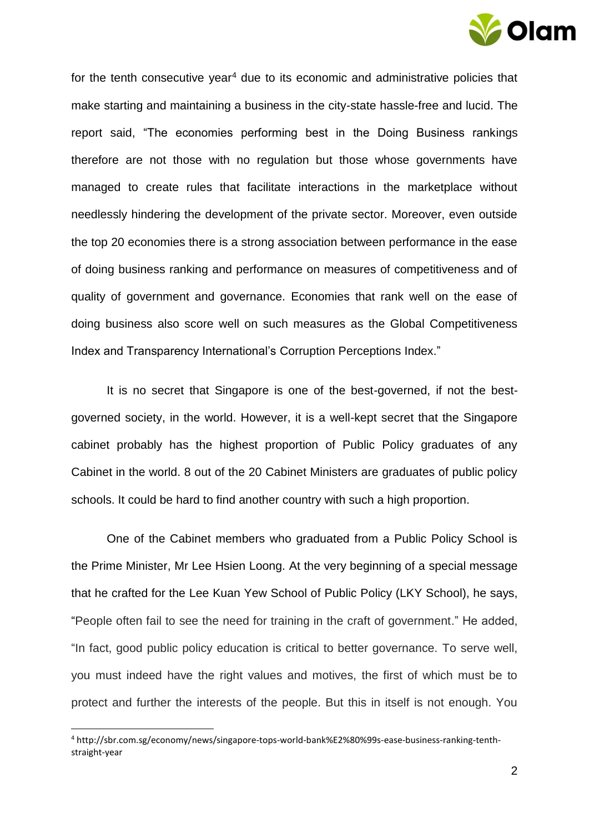

for the tenth consecutive year<sup>4</sup> due to its economic and administrative policies that make starting and maintaining a business in the city-state hassle-free and lucid. The report said, "The economies performing best in the Doing Business rankings therefore are not those with no regulation but those whose governments have managed to create rules that facilitate interactions in the marketplace without needlessly hindering the development of the private sector. Moreover, even outside the top 20 economies there is a strong association between performance in the ease of doing business ranking and performance on measures of competitiveness and of quality of government and governance. Economies that rank well on the ease of doing business also score well on such measures as the Global Competitiveness Index and Transparency International's Corruption Perceptions Index."

It is no secret that Singapore is one of the best-governed, if not the bestgoverned society, in the world. However, it is a well-kept secret that the Singapore cabinet probably has the highest proportion of Public Policy graduates of any Cabinet in the world. 8 out of the 20 Cabinet Ministers are graduates of public policy schools. It could be hard to find another country with such a high proportion.

One of the Cabinet members who graduated from a Public Policy School is the Prime Minister, Mr Lee Hsien Loong. At the very beginning of a special message that he crafted for the Lee Kuan Yew School of Public Policy (LKY School), he says, "People often fail to see the need for training in the craft of government." He added, "In fact, good public policy education is critical to better governance. To serve well, you must indeed have the right values and motives, the first of which must be to protect and further the interests of the people. But this in itself is not enough. You

1

<sup>4</sup> http://sbr.com.sg/economy/news/singapore-tops-world-bank%E2%80%99s-ease-business-ranking-tenthstraight-year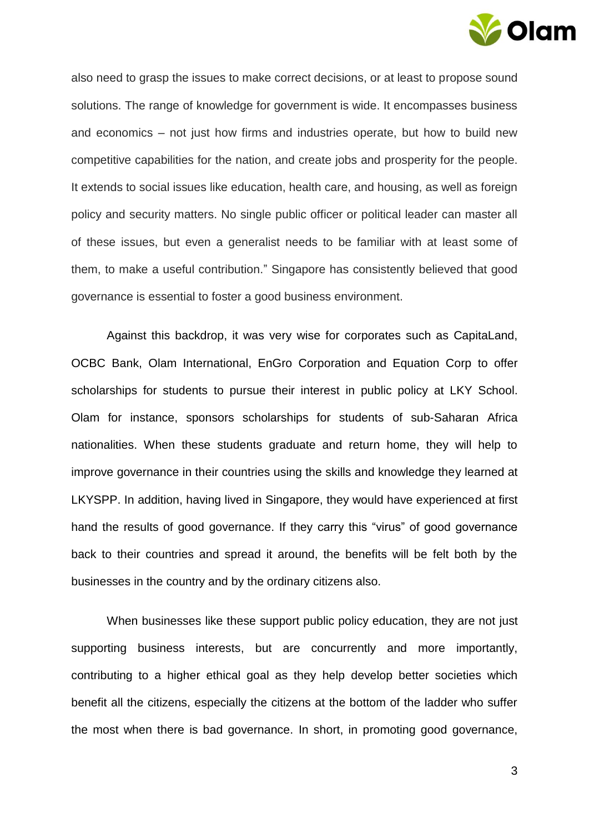

also need to grasp the issues to make correct decisions, or at least to propose sound solutions. The range of knowledge for government is wide. It encompasses business and economics – not just how firms and industries operate, but how to build new competitive capabilities for the nation, and create jobs and prosperity for the people. It extends to social issues like education, health care, and housing, as well as foreign policy and security matters. No single public officer or political leader can master all of these issues, but even a generalist needs to be familiar with at least some of them, to make a useful contribution." Singapore has consistently believed that good governance is essential to foster a good business environment.

Against this backdrop, it was very wise for corporates such as CapitaLand, OCBC Bank, Olam International, EnGro Corporation and Equation Corp to offer scholarships for students to pursue their interest in public policy at LKY School. Olam for instance, sponsors scholarships for students of sub-Saharan Africa nationalities. When these students graduate and return home, they will help to improve governance in their countries using the skills and knowledge they learned at LKYSPP. In addition, having lived in Singapore, they would have experienced at first hand the results of good governance. If they carry this "virus" of good governance back to their countries and spread it around, the benefits will be felt both by the businesses in the country and by the ordinary citizens also.

When businesses like these support public policy education, they are not just supporting business interests, but are concurrently and more importantly, contributing to a higher ethical goal as they help develop better societies which benefit all the citizens, especially the citizens at the bottom of the ladder who suffer the most when there is bad governance. In short, in promoting good governance,

3